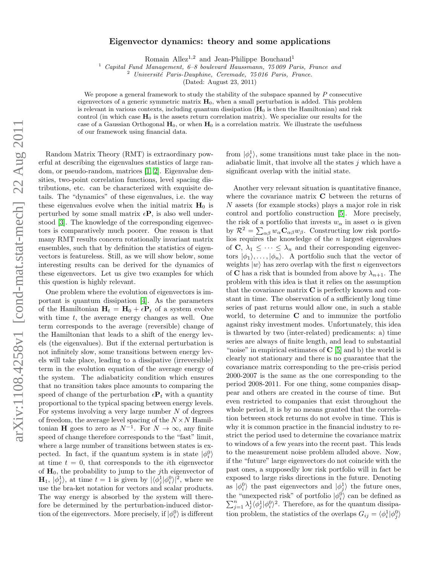## Eigenvector dynamics: theory and some applications

Romain Allez<sup>1,2</sup> and Jean-Philippe Bouchaud<sup>1</sup>

<sup>1</sup> Capital Fund Management, 6–8 boulevard Haussmann, 75 009 Paris, France and

 $2$  Université Paris-Dauphine, Ceremade, 75 016 Paris, France.

(Dated: August 23, 2011)

We propose a general framework to study the stability of the subspace spanned by  $P$  consecutive eigenvectors of a generic symmetric matrix  $H_0$ , when a small perturbation is added. This problem is relevant in various contexts, including quantum dissipation  $(H_0$  is then the Hamiltonian) and risk control (in which case  $H_0$  is the assets return correlation matrix). We specialize our results for the case of a Gaussian Orthogonal  $H_0$ , or when  $H_0$  is a correlation matrix. We illustrate the usefulness of our framework using financial data.

Random Matrix Theory (RMT) is extraordinary powerful at describing the eigenvalues statistics of large random, or pseudo-random, matrices [\[1,](#page-3-0) [2\]](#page-3-1). Eigenvalue densities, two-point correlation functions, level spacing distributions, etc. can be characterized with exquisite details. The "dynamics" of these eigenvalues, i.e. the way these eigenvalues evolve when the initial matrix  $H_0$  is perturbed by some small matrix  $\epsilon \mathbf{P}$ , is also well understood [\[3\]](#page-3-2). The knowledge of the corresponding eigenvectors is comparatively much poorer. One reason is that many RMT results concern rotationally invariant matrix ensembles, such that by definition the statistics of eigenvectors is featureless. Still, as we will show below, some interesting results can be derived for the dynamics of these eigenvectors. Let us give two examples for which this question is highly relevant.

One problem where the evolution of eigenvectors is important is quantum dissipation [\[4\]](#page-3-3). As the parameters of the Hamiltonian  $H_t = H_0 + \epsilon P_t$  of a system evolve with time  $t$ , the average energy changes as well. One term corresponds to the average (reversible) change of the Hamiltonian that leads to a shift of the energy levels (the eigenvalues). But if the external perturbation is not infinitely slow, some transitions between energy levels will take place, leading to a dissipative (irreversible) term in the evolution equation of the average energy of the system. The adiabaticity condition which ensures that no transition takes place amounts to comparing the speed of change of the perturbation  $\epsilon \mathbf{P}_t$  with a quantity proportional to the typical spacing between energy levels. For systems involving a very large number  $N$  of degrees of freedom, the average level spacing of the  $N \times N$  Hamiltonian **H** goes to zero as  $N^{-1}$ . For  $N \to \infty$ , any finite speed of change therefore corresponds to the "fast" limit, where a large number of transitions between states is expected. In fact, if the quantum system is in state  $|\phi_i^0\rangle$ at time  $t = 0$ , that corresponds to the *i*th eigenvector of  $H_0$ , the probability to jump to the *j*th eigenvector of  $\mathbf{H}_1, |\phi_j^1\rangle$ , at time  $t=1$  is given by  $|\langle \phi_j^1 | \phi_i^0 \rangle|^2$ , where we use the bra-ket notation for vectors and scalar products. The way energy is absorbed by the system will therefore be determined by the perturbation-induced distortion of the eigenvectors. More precisely, if  $|\phi_i^0\rangle$  is different

from  $|\phi_i^1\rangle$ , some transitions must take place in the nonadiabatic limit, that involve all the states  $j$  which have a significant overlap with the initial state.

Another very relevant situation is quantitative finance, where the covariance matrix  $C$  between the returns of N assets (for example stocks) plays a major role in risk control and portfolio construction [\[5\]](#page-3-4). More precisely, the risk of a portfolio that invests  $w_{\alpha}$  in asset  $\alpha$  is given by  $\mathcal{R}^2 = \sum_{\alpha\beta} w_{\alpha} \mathbf{C}_{\alpha\beta} w_{\beta}$ . Constructing low risk portfolios requires the knowledge of the  $n$  largest eigenvalues of C,  $\lambda_1 \leq \cdots \leq \lambda_n$  and their corresponding eigenvectors  $|\phi_1\rangle, \ldots, |\phi_n\rangle$ . A portfolio such that the vector of weights  $|w\rangle$  has zero overlap with the first n eigenvectors of **C** has a risk that is bounded from above by  $\lambda_{n+1}$ . The problem with this idea is that it relies on the assumption that the covariance matrix  $C$  is perfectly known and constant in time. The observation of a sufficiently long time series of past returns would allow one, in such a stable world, to determine  $C$  and to immunize the portfolio against risky investment modes. Unfortunately, this idea is thwarted by two (inter-related) predicaments: a) time series are always of finite length, and lead to substantial "noise" in empirical estimates of  $C$  [\[5\]](#page-3-4) and b) the world is clearly not stationary and there is no guarantee that the covariance matrix corresponding to the pre-crisis period 2000-2007 is the same as the one corresponding to the period 2008-2011. For one thing, some companies disappear and others are created in the course of time. But even restricted to companies that exist throughout the whole period, it is by no means granted that the correlation between stock returns do not evolve in time. This is why it is common practice in the financial industry to restrict the period used to determine the covariance matrix to windows of a few years into the recent past. This leads to the measurement noise problem alluded above. Now, if the "future" large eigenvectors do not coincide with the past ones, a supposedly low risk portfolio will in fact be exposed to large risks directions in the future. Denoting as  $|\phi_i^0\rangle$  the past eigenvectors and  $|\phi_j^1\rangle$  the future ones, the "unexpected risk" of portfolio  $|\phi_i^0\rangle$  can be defined as  $\sum_{j=1}^{n} \lambda_j^1 \langle \hat{\phi}_j^1 | \phi_i^0 \rangle^2$ . Therefore, as for the quantum dissipation problem, the statistics of the overlaps  $G_{ij} = \langle \phi_i^1 | \phi_j^0 \rangle$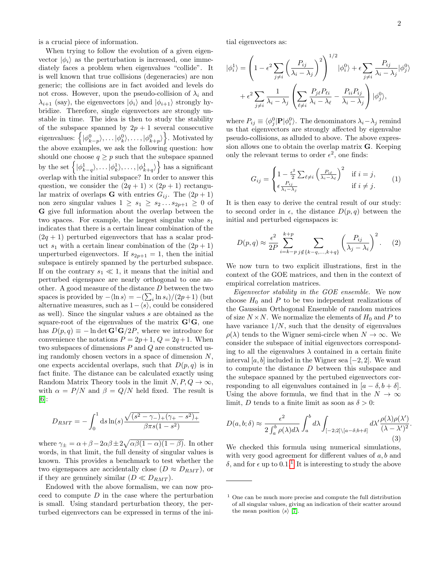is a crucial piece of information.

When trying to follow the evolution of a given eigenvector  $|\phi_i\rangle$  as the perturbation is increased, one immediately faces a problem when eigenvalues "collide". It is well known that true collisions (degeneracies) are non generic; the collisions are in fact avoided and levels do not cross. However, upon the pseudo-collision of  $\lambda_i$  and  $\lambda_{i+1}$  (say), the eigenvectors  $|\phi_i\rangle$  and  $|\phi_{i+1}\rangle$  strongly hybridize. Therefore, single eigenvectors are strongly unstable in time. The idea is then to study the stability of the subspace spanned by  $2p + 1$  several consecutive eigenvalues:  $\left\{ |\phi_{k-p}^0\rangle, \ldots, |\phi_{k}^0\rangle, \ldots, |\phi_{k+p}^0\rangle \right\}$ . Motivated by the above examples, we ask the following question: how should one choose  $q \geq p$  such that the subspace spanned by the set  $\left\{ |\phi_{k-q}^1\rangle, \ldots, |\phi_{k}^1\rangle, \ldots, |\phi_{k+q}^1\rangle \right\}$  has a significant overlap with the initial subspace? In order to answer this question, we consider the  $(2q + 1) \times (2p + 1)$  rectangular matrix of overlaps **G** with entries  $G_{ij}$ . The  $(2p + 1)$ non zero singular values  $1 \geq s_1 \geq s_2 \dots s_{2p+1} \geq 0$  of G give full information about the overlap between the two spaces. For example, the largest singular value  $s_1$ indicates that there is a certain linear combination of the  $(2q + 1)$  perturbed eigenvectors that has a scalar product  $s_1$  with a certain linear combination of the  $(2p + 1)$ unperturbed eigenvectors. If  $s_{2p+1} = 1$ , then the initial subspace is entirely spanned by the perturbed subspace. If on the contrary  $s_1 \ll 1$ , it means that the initial and perturbed eigenspace are nearly orthogonal to one another. A good measure of the distance D between the two spaces is provided by  $-\langle \ln s \rangle = -(\sum_i \ln s_i)/(2p+1)$  (but alternative measures, such as  $1-\langle s \rangle$ , could be considered as well). Since the singular values s are obtained as the square-root of the eigenvalues of the matrix  $G^{\dagger}G$ , one has  $D(p,q) \equiv -\ln \det \mathbf{G}^{\dagger} \mathbf{G}/2P$ , where we introduce for convenience the notations  $P = 2p + 1$ ,  $Q = 2q + 1$ . When two subspaces of dimensions P and Q are constructed using randomly chosen vectors in a space of dimension  $N$ , one expects accidental overlaps, such that  $D(p,q)$  is in fact finite. The distance can be calculated exactly using Random Matrix Theory tools in the limit  $N, P, Q \rightarrow \infty$ , with  $\alpha = P/N$  and  $\beta = Q/N$  held fixed. The result is [\[6\]](#page-3-5):

$$
D_{RMT} = -\int_0^1 ds \ln(s) \frac{\sqrt{(s^2 - \gamma_{-})_+(\gamma_{+} - s^2)_+}}{\beta \pi s (1 - s^2)}
$$

where  $\gamma_{\pm} = \alpha + \beta - 2\alpha\beta \pm 2\sqrt{\alpha\beta(1-\alpha)(1-\beta)}$ . In other words, in that limit, the full density of singular values is known. This provides a benchmark to test whether the two eigenspaces are accidentally close  $(D \approx D_{RMT})$ , or if they are genuinely similar  $(D \ll D_{RMT})$ .

Endowed with the above formalism, we can now proceed to compute  $D$  in the case where the perturbation is small. Using standard perturbation theory, the perturbed eigenvectors can be expressed in terms of the initial eigenvectors as:

$$
|\phi_i^1\rangle = \left(1 - \epsilon^2 \sum_{j \neq i} \left(\frac{P_{ij}}{\lambda_i - \lambda_j}\right)^2\right)^{1/2} |\phi_i^0\rangle + \epsilon \sum_{j \neq i} \frac{P_{ij}}{\lambda_i - \lambda_j} |\phi_j^0\rangle
$$

$$
+ \epsilon^2 \sum_{j \neq i} \frac{1}{\lambda_i - \lambda_j} \left(\sum_{\ell \neq i} \frac{P_{j\ell} P_{\ell i}}{\lambda_i - \lambda_\ell} - \frac{P_{ii} P_{ij}}{\lambda_i - \lambda_j}\right) |\phi_j^0\rangle,
$$

where  $P_{ij} \equiv \langle \phi_j^0 | \mathbf{P} | \phi_i^0 \rangle$ . The denominators  $\lambda_i - \lambda_j$  remind us that eigenvectors are strongly affected by eigenvalue pseudo-collisions, as alluded to above. The above expression allows one to obtain the overlap matrix G. Keeping only the relevant terms to order  $\epsilon^2$ , one finds:

$$
G_{ij} = \begin{cases} 1 - \frac{\epsilon^2}{2} \sum_{\ell \neq i} \left( \frac{P_{i\ell}}{\lambda_i - \lambda_\ell} \right)^2 & \text{if } i = j, \\ \epsilon \frac{P_{ij}}{\lambda_i - \lambda_j} & \text{if } i \neq j. \end{cases}
$$
 (1)

It is then easy to derive the central result of our study: to second order in  $\epsilon$ , the distance  $D(p,q)$  between the initial and perturbed eigenspaces is:

$$
D(p,q) \approx \frac{\epsilon^2}{2P} \sum_{i=k-p}^{k+p} \sum_{j \notin \{k-q,\dots,k+q\}} \left(\frac{P_{ij}}{\lambda_j - \lambda_i}\right)^2.
$$
 (2)

We now turn to two explicit illustrations, first in the context of the GOE matrices, and then in the context of empirical correlation matrices.

Eigenvector stability in the GOE ensemble. We now choose  $H_0$  and P to be two independent realizations of the Gaussian Orthogonal Ensemble of random matrices of size  $N \times N$ . We normalize the elements of  $H_0$  and P to have variance  $1/N$ , such that the density of eigenvalues  $\rho(\lambda)$  tends to the Wigner semi-circle when  $N \to \infty$ . We consider the subspace of initial eigenvectors corresponding to all the eigenvalues  $\lambda$  contained in a certain finite interval [a, b] included in the Wigner sea  $[-2, 2]$ . We want to compute the distance D between this subspace and the subspace spanned by the pertubed eigenvectors corresponding to all eigenvalues contained in  $[a - \delta, b + \delta]$ . Using the above formula, we find that in the  $N \to \infty$ limit, D tends to a finite limit as soon as  $\delta > 0$ :

$$
D(a,b;\delta) \approx \frac{\epsilon^2}{2\int_a^b \rho(\lambda)d\lambda} \int_a^b d\lambda \int_{[-2;2]\setminus[a-\delta;b+\delta]} d\lambda' \frac{\rho(\lambda)\rho(\lambda')}{(\lambda-\lambda')^2}.
$$
\n(3)

We checked this formula using numerical simulations, with very good agreement for different values of  $a, b$  and δ, and for  $\epsilon$  up to 0.[1](#page-1-0).<sup>1</sup> It is interesting to study the above

<span id="page-1-0"></span><sup>1</sup> One can be much more precise and compute the full distribution of all singular values, giving an indication of their scatter around the mean position  $\langle s \rangle$  [\[7\]](#page-3-6).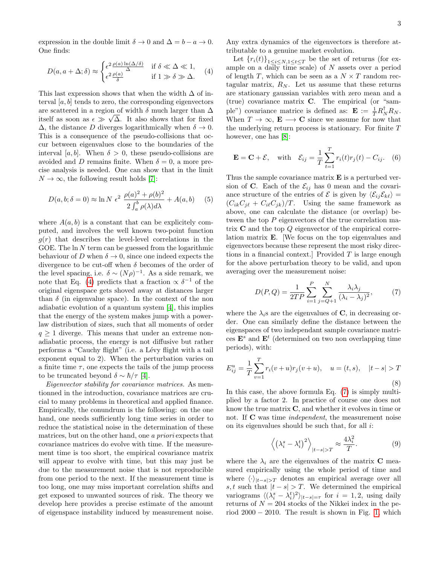expression in the double limit  $\delta \to 0$  and  $\Delta = b - a \to 0$ . One finds:

<span id="page-2-0"></span>
$$
D(a, a + \Delta; \delta) \approx \begin{cases} \epsilon^2 \frac{\rho(a) \ln(\Delta/\delta)}{\Delta} & \text{if } \delta \ll \Delta \ll 1, \\ \epsilon^2 \frac{\rho(a)}{\delta} & \text{if } 1 \gg \delta \gg \Delta. \end{cases} (4)
$$

This last expression shows that when the width  $\Delta$  of interval  $[a, b]$  tends to zero, the corresponding eigenvectors are scattered in a region of width  $\delta$  much larger than  $\Delta$ itself as soon as  $\epsilon \gg \sqrt{\Delta}$ . It also shows that for fixed  $\Delta$ , the distance D diverges logarithmically when  $\delta \to 0$ . This is a consequence of the pseudo-collisions that occur between eigenvalues close to the boundaries of the interval [a, b]. When  $\delta > 0$ , these pseudo-collisions are avoided and D remains finite. When  $\delta = 0$ , a more precise analysis is needed. One can show that in the limit  $N \to \infty$ , the following result holds [\[7\]](#page-3-6):

$$
D(a, b; \delta = 0) \approx \ln N \epsilon^2 \frac{\rho(a)^2 + \rho(b)^2}{2 \int_a^b \rho(\lambda) d\lambda} + A(a, b) \quad (5)
$$

where  $A(a, b)$  is a constant that can be explicitely computed, and involves the well known two-point function  $g(r)$  that describes the level-level correlations in the GOE. The  $\ln N$  term can be guessed from the logarithmic behaviour of D when  $\delta \to 0$ , since one indeed expects the divergence to be cut-off when  $\delta$  becomes of the order of the level spacing, i.e.  $\delta \sim (N\rho)^{-1}$ . As a side remark, we note that Eq. [\(4\)](#page-2-0) predicts that a fraction  $\propto \delta^{-1}$  of the original eigenspace gets shoved away at distances larger than  $\delta$  (in eigenvalue space). In the context of the non adiabatic evolution of a quantum system [\[4\]](#page-3-3), this implies that the energy of the system makes jump with a powerlaw distribution of sizes, such that all moments of order  $q \geq 1$  diverge. This means that under an extreme nonadiabatic process, the energy is not diffusive but rather performs a "Cauchy flight" (i.e. a Lévy flight with a tail exponent equal to 2). When the perturbation varies on a finite time  $\tau$ , one expects the tails of the jump process to be truncated beyond  $\delta \sim \hbar/\tau$  [\[4\]](#page-3-3).

Eigenvector stability for covariance matrices. As mentionned in the introduction, covariance matrices are crucial to many problems in theoretical and applied finance. Empirically, the conundrum is the following: on the one hand, one needs sufficiently long time series in order to reduce the statistical noise in the determination of these matrices, but on the other hand, one a priori expects that covariance matrices do evolve with time. If the measurement time is too short, the empirical covariance matrix will appear to evolve with time, but this may just be due to the measurement noise that is not reproducible from one period to the next. If the measurement time is too long, one may miss important correlation shifts and get exposed to unwanted sources of risk. The theory we develop here provides a precise estimate of the amount of eigenspace instability induced by measurement noise.

Any extra dynamics of the eigenvectors is therefore attributable to a genuine market evolution.

Let  ${r_i(t)}_{1\leq i\leq N,1\leq t\leq T}$  be the set of returns (for example on a daily time scale) of  $N$  assets over a period of length T, which can be seen as a  $N \times T$  random rectagular matrix,  $R_N$ . Let us assume that these returns are stationary gaussian variables with zero mean and a (true) covariance matrix C. The empirical (or "sample") covariance matrice is defined as:  $\mathbf{E} := \frac{1}{T} R_N^{\dagger} R_N$ . When  $T \to \infty$ ,  $\mathbf{E} \to \mathbf{C}$  since we assume for now that the underlying return process is stationary. For finite T however, one has [\[8\]](#page-3-7):

$$
\mathbf{E} = \mathbf{C} + \mathcal{E}, \quad \text{with} \quad \mathcal{E}_{ij} = \frac{1}{T} \sum_{t=1}^{T} r_i(t) r_j(t) - C_{ij}. \quad (6)
$$

Thus the sample covariance matrix  $E$  is a perturbed version of C. Each of the  $\mathcal{E}_{ij}$  has 0 mean and the covariance structure of the entries of  $\mathcal E$  is given by  $\langle \mathcal E_{ij} \mathcal E_{k\ell} \rangle =$  $(C_{ik}C_{j\ell} + C_{i\ell}C_{jk})/T$ . Using the same framework as above, one can calculate the distance (or overlap) between the top  $P$  eigenvectors of the true correlation matrix C and the top Q eigenvector of the empirical correlation matrix E. [We focus on the top eigenvalues and eigenvectors because these represent the most risky directions in a financial context. Provided  $T$  is large enough for the above perturbation theory to be valid, and upon averaging over the measurement noise:

<span id="page-2-1"></span>
$$
D(P,Q) = \frac{1}{2TP} \sum_{i=1}^{P} \sum_{j=Q+1}^{N} \frac{\lambda_i \lambda_j}{(\lambda_i - \lambda_j)^2},\tag{7}
$$

where the  $\lambda_i$ s are the eigenvalues of C, in decreasing order. One can similarly define the distance between the eigenspaces of two independant sample covariance matrices  $\mathbf{E}^s$  and  $\mathbf{E}^t$  (determined on two non overlapping time periods), with:

$$
E_{ij}^{u} = \frac{1}{T} \sum_{v=1}^{T} r_i(v+u)r_j(v+u), \quad u = (t, s), \quad |t - s| > T
$$
\n(8)

In this case, the above formula Eq. [\(7\)](#page-2-1) is simply multiplied by a factor 2. In practice of course one does not know the true matrix C, and whether it evolves in time or not. If **C** was time *independent*, the measurement noise on its eigenvalues should be such that, for all  $i$ :

$$
\left\langle \left(\lambda_i^s - \lambda_i^t\right)^2 \right\rangle_{|t-s|>T} \approx \frac{4\lambda_i^2}{T}.
$$
 (9)

where the  $\lambda_i$  are the eigenvalues of the matrix **C** measured empirically using the whole period of time and where  $\langle \cdot \rangle_{|t-s|>T}$  denotes an empirical average over all s, t such that  $|t - s| > T$ . We determined the empirical variograms  $\langle (\lambda_i^s - \lambda_i^t)^2 \rangle_{|t-s|=\tau}$  for  $i = 1, 2$ , using daily returns of  $N = 204$  stocks of the Nikkei index in the period  $2000 - 2010$ . The result is shown in Fig. [1,](#page-3-8) which